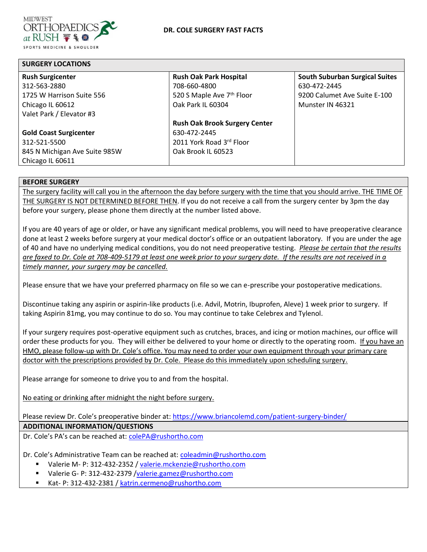

**SURGERY LOCATIONS**

| <b>SURGERY LOCATIONS</b>      |                                      |                                       |  |  |  |  |  |
|-------------------------------|--------------------------------------|---------------------------------------|--|--|--|--|--|
| <b>Rush Surgicenter</b>       | <b>Rush Oak Park Hospital</b>        | <b>South Suburban Surgical Suites</b> |  |  |  |  |  |
| 312-563-2880                  | 708-660-4800                         | 630-472-2445                          |  |  |  |  |  |
| 1725 W Harrison Suite 556     | 520 S Maple Ave 7th Floor            | 9200 Calumet Ave Suite E-100          |  |  |  |  |  |
| Chicago IL 60612              | Oak Park IL 60304                    | Munster IN 46321                      |  |  |  |  |  |
| Valet Park / Elevator #3      |                                      |                                       |  |  |  |  |  |
|                               | <b>Rush Oak Brook Surgery Center</b> |                                       |  |  |  |  |  |
| <b>Gold Coast Surgicenter</b> | 630-472-2445                         |                                       |  |  |  |  |  |
| 312-521-5500                  | 2011 York Road 3rd Floor             |                                       |  |  |  |  |  |
| 845 N Michigan Ave Suite 985W | Oak Brook IL 60523                   |                                       |  |  |  |  |  |
| Chicago IL 60611              |                                      |                                       |  |  |  |  |  |

# **BEFORE SURGERY**

The surgery facility will call you in the afternoon the day before surgery with the time that you should arrive. THE TIME OF THE SURGERY IS NOT DETERMINED BEFORE THEN. If you do not receive a call from the surgery center by 3pm the day before your surgery, please phone them directly at the number listed above.

If you are 40 years of age or older, or have any significant medical problems, you will need to have preoperative clearance done at least 2 weeks before surgery at your medical doctor's office or an outpatient laboratory. If you are under the age of 40 and have no underlying medical conditions, you do not need preoperative testing. *Please be certain that the results are faxed to Dr. Cole at 708-409-5179 at least one week prior to your surgery date. If the results are not received in a timely manner, your surgery may be cancelled.*

Please ensure that we have your preferred pharmacy on file so we can e-prescribe your postoperative medications.

Discontinue taking any aspirin or aspirin-like products (i.e. Advil, Motrin, Ibuprofen, Aleve) 1 week prior to surgery. If taking Aspirin 81mg, you may continue to do so. You may continue to take Celebrex and Tylenol.

If your surgery requires post-operative equipment such as crutches, braces, and icing or motion machines, our office will order these products for you. They will either be delivered to your home or directly to the operating room. If you have an HMO, please follow-up with Dr. Cole's office. You may need to order your own equipment through your primary care doctor with the prescriptions provided by Dr. Cole. Please do this immediately upon scheduling surgery.

Please arrange for someone to drive you to and from the hospital.

No eating or drinking after midnight the night before surgery.

Please review Dr. Cole's preoperative binder at: <https://www.briancolemd.com/patient-surgery-binder/>

**ADDITIONAL INFORMATION/QUESTIONS**

Dr. Cole's PA's can be reached at: [colePA@rushortho.com](mailto:colePA@rushortho.com)

Dr. Cole's Administrative Team can be reached at: [coleadmin@rushortho.com](mailto:coleadmin@rushortho.com)

- Valerie M- P: 312-432-2352 / [valerie.mckenzie@rushortho.com](mailto:valerie.mckenzie@rushortho.com)
- Valerie G- P: 312-432-2379 [/valerie.gamez@rushortho.com](mailto:valerie.gamez@rushortho.com)
- Kat- P: 312-432-2381 / [katrin.cermeno@rushortho.com](mailto:Samantha.Smith@rushortho.com)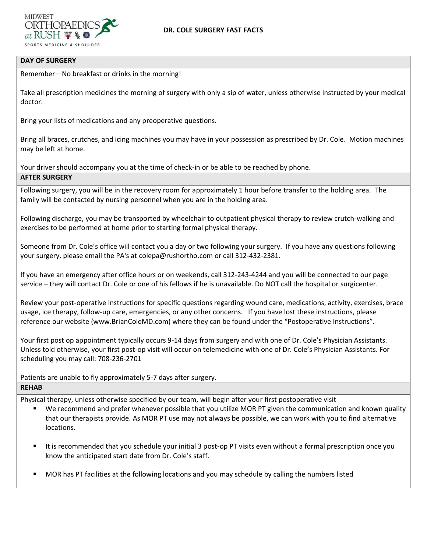

# **DAY OF SURGERY**

Remember—No breakfast or drinks in the morning!

Take all prescription medicines the morning of surgery with only a sip of water, unless otherwise instructed by your medical doctor.

Bring your lists of medications and any preoperative questions.

Bring all braces, crutches, and icing machines you may have in your possession as prescribed by Dr. Cole. Motion machines may be left at home.

Your driver should accompany you at the time of check-in or be able to be reached by phone. **AFTER SURGERY**

Following surgery, you will be in the recovery room for approximately 1 hour before transfer to the holding area. The family will be contacted by nursing personnel when you are in the holding area.

Following discharge, you may be transported by wheelchair to outpatient physical therapy to review crutch-walking and exercises to be performed at home prior to starting formal physical therapy.

Someone from Dr. Cole's office will contact you a day or two following your surgery. If you have any questions following your surgery, please email the PA's at colepa@rushortho.com or call 312-432-2381.

If you have an emergency after office hours or on weekends, call 312-243-4244 and you will be connected to our page service – they will contact Dr. Cole or one of his fellows if he is unavailable. Do NOT call the hospital or surgicenter.

Review your post-operative instructions for specific questions regarding wound care, medications, activity, exercises, brace usage, ice therapy, follow-up care, emergencies, or any other concerns. If you have lost these instructions, please reference our website (www.BrianColeMD.com) where they can be found under the "Postoperative Instructions".

Your first post op appointment typically occurs 9-14 days from surgery and with one of Dr. Cole's Physician Assistants. Unless told otherwise, your first post-op visit will occur on telemedicine with one of Dr. Cole's Physician Assistants. For scheduling you may call: 708-236-2701

# Patients are unable to fly approximately 5-7 days after surgery.

#### **REHAB**

Physical therapy, unless otherwise specified by our team, will begin after your first postoperative visit

- We recommend and prefer whenever possible that you utilize MOR PT given the communication and known quality that our therapists provide. As MOR PT use may not always be possible, we can work with you to find alternative locations.
- It is recommended that you schedule your initial 3 post-op PT visits even without a formal prescription once you know the anticipated start date from Dr. Cole's staff.
- MOR has PT facilities at the following locations and you may schedule by calling the numbers listed